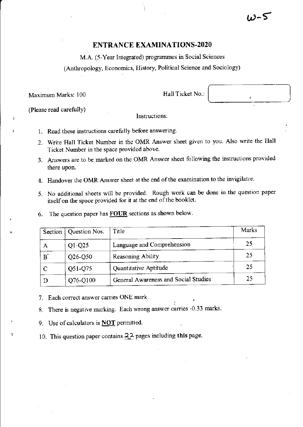## ENTRANCE EXAMINATIONS-2O2O

M.A. (5-Year Integrated) programmes in Social Sciences

(Antbropology, Economics, History, Political Science and Sociology)

Maximum Marks: 100

(Please read carefully)

Hall Ticket No.:

rr-5

lnstructions:

- 1. Read these instructions carefully before answering.
- 2. Write Hall Ticket Number in thc OMR Answer sheet given to you. Also write the Hall Ticket Number in the space provided abovc
- 3. Answers are to be marked on the OMR Answer sheet following the instructions provided there upon.
- 4. Handover the OMR Answer sheet at the end of the examination to the invigilator.
- 5. No additional sheets will be provided. Rough work can be done in the question paper itself on the space provided for it at the end of the booklet.
- 6. The question paper has  $FOUR$  sections as shown below.

|               | Section   Question Nos. | Title                                | Marks |
|---------------|-------------------------|--------------------------------------|-------|
| А             | $Q1-Q25$                | Language and Comprehension           | 25    |
| $B^{\dagger}$ | $Q26-Q50$               | Reasoning Ability                    | 25    |
|               | Q51-Q75                 | Quantitative Aptitude                | 25    |
| Ð             | Q76-Q100                | General Awareness and Social Studies | 25    |

7. Each correct answer carries ONE mark.

8. There is negative marking. Each wrong answer carries -0.33 marks.

9. Use of calculators is **NOT** permitted.

10. This question paper contains  $22$  pages including this page.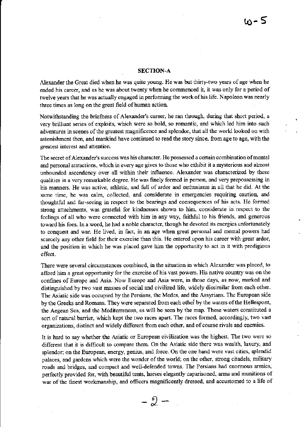#### SECTION.A

Alexander the Great died when he was quite young. He was but thirty-two years of age when he ended his career, and as he was about twenty when he commenced it, it was only for a period of twelve years that he was actually engaged in performing the work of his life. Napoleon was nearly three times as long on the great field of human action.

Notwithstanding the briefness of Alexander's career, he ran through, during that short period, a very brilliant series of exploits, which were so bold, so romantic, and which led him into such adventures in scenes of the greatest magnificence and splendor, that all the world looked on with astonishment then, and mankind have continued to read the story since, from age to age, with the greatest hterest and attention.

The secret of Alexander's success was his character. He possessed a certain combination of mental and personal attractions, which in every age gives to those who exhibit it a mysterious and almost unbounded ascendency over all within their influence. Alexander was characterized by these qualities in a very remarkable degree. He was finely formed in person, and very prepossessing in his manners. He was active, athletic, and full of ardor and enthusiasm in all that he did. At the same time, he was calm, collected, and considerate in emergencies requiring caution, and thoughtful ard far-seeing in respect to the bearings and consequences of his acts. He formed strong attachments, was grateful for kindnesses shown to him, considerate in respect to the feelings of all who were connected with him in any way, faithful to his friends, and generous toward his foes. In a word, he had a noble character, though he devoted its energies unfortunately to conquest and war. He lived, in fact, in an age when great personal and mental powers had scarcely any other field for their exercise than this. He entered upon his career with great ardor, and the position in which he was placed gave him the oppoftunity to act in it with prodigious effect.

There were several circumstances combined, in the situation in which Alexander was placed, to afford him a great opportunity for the exercise of his vast powers. His native country was on the confines of Europe and Asia. Now Europe and Asia were, in those days, as now, marked and distinguished by two vast masses of social and civilized life, widely dissimilar from each other. The Asiatic side was occupied by the Persians, the Medes, and the Assyrians. The European side by the Greeks and Romans. They were separated from each other by the waters of the Hellespont, the Aegean Sea, and the Mediterranean, as will be seen by the map. These waters constituted a sort of natural barrier, which kept the two races apart. The races formed, accordingly, two vast organizations, distinct and widely different from each other, and of course rivals and enemies.

It is hard to say whether the Asiatic or European civilization was the highest. The two were so different that it is difficult to compare them. On the Asiatic side there was wealth, luxury, and splendor; on the European, energy, genius, and force. On the one hand were vast cities, splendid palaces, and gardens which were the wonder of the world; on the other, strong citadels, military roads and bridges, and compact and well-defended toms. The Persians had enormous amies, perfectly provided for, with beautiful tents, horses elegantly caparisoned, arms and munitions of war of the finest workmanship, and officers magnificently dressed, and accustomed to a life of

 $-\frac{6}{6}$  -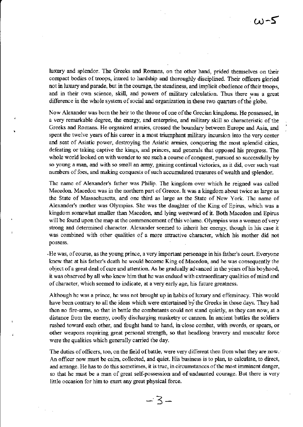luxury and splendor. The Greeks and Romans, on the other hand, prided themselves on their compact bodies of troops, inured to hardship and thoroughly disciplined. Their officers gloried not in luxury and pamde, but in the courage, the steadiness, and implicit obedience oftheir troops, and in their own science, skill, and powers of military calculation. Thus there was a great difference in the whole system of social and organization in these two quarters of the globe.

Now Alexander was born the heir to the throne of one of the Grecian kingdoms. He possessed, in a very remarkable degree, the energy, and enterprise, and military skill so characteristic of the Greeks and Romans. He organized armies, crossed the boundary between Europe and Asia, and spent the twelve years of his career in a most triumphant military incursion into the very center and seat of Asiatic power, destroying the Asiatic armies, conquering the most splendid cities, defeating or taking captive the kings, and princes, and generals that opposed his progress. The whole world looked on with wonder to see such a course of conquest, pursued so successfully by so young a man, and with so small an army, gaining continual victories, as it did, over such vast numbers of foes, and making conquests of such accumulated treasures of wealth and splendor.

The name of Alexander's father was Philip. The kingdom over which he reigned was called Macedon. Macedon was in the northern part of Greece. It was a kingdom about twice as large as the State of Massachusetts, and one third as large as the State of New York. The name of Alexander's mother was Olympias. She was the daughter of the King of Epirus, which was a kingdom somewhat smaller than Macedon, and lying westward of it. Both Macedon and Epirus will be found upon the map at the commencement of this volume. Olympias was a woman of very strong and determined chamcter. Alexander seemed to inherit her energy, though in his case it was combined with other qualities of a more attractive character, which his mother did not possess.

.He was, ofcourse, as the young prince, a very impoftant personage in his father's court. Everyone knew that at his father's death he would become King of Macedon, and he was consequently the object of a great deal of care and attention. As he gradually advanced in the years of his boyhood, it was observed by all who knew him that he was endued with extraordinary qualities of mind and of character, which seemed to indicate, at a very early age, his future greatness.

Although he was a prince, he was not brought up in habits of luxury and effeminacy. This would have been contrary to all the ideas which were entertained by the Greeks in those days. They had then no fire-arms, so that in battle the combatants could not stand quietly, as they can now, at a distance from the enemy, coolly discharging musketry or cannon. In ancient battles the soldiers rushed toward each other, and fought hand to hand, in close combat, with swords, or spears, or other weapons requiring great personal strength, so that headlong bravery and muscular force were the qualities which generally carried the day.

The duties of officers, too, on the field of battle, were very different then from what they are now. An officer now must be calm, collected, and quiet. His business is to plan, to calculate, to direct, and arrange. He has to do this sometimes, it is true, in circumstances of the most imminent danger, so that he must be a man of great self-possession and of undaunted courage. But there is very little occasion for him to exert any great physical force.

 $-3-$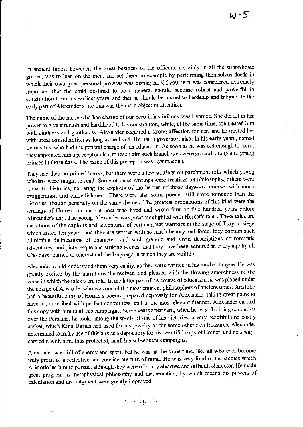In ancient times, however, the great business of the officers, certainly in all the subordinate grades, was to lead on the men, and set them an example by performing themselves deeds in which their own great personal prowess was displayed. Of course it was considered extremely important that the child destined to be a general should become robust and powerful in constitution from his earliest years, and that he should be inured to hardship and fatigue. In the early part of Alexander's life this was the main object of attention.

The name of the nurse who had charge of our hero in his infancy was Lannice. She did all in her power to give strength and hardihood to his constitution, while, at the same time, she treated him with kindness and gentleness. Alexander acquired a strong affection for her, and he treated her with great consideration as long as he lived. He had a governor, also, in his early years, named Leonnatus, who had the general charge of his education. As soon as he was old enough to learn, they appointed him a preceptor also, to teach him such branches as were generally taught to young princes in those days. The name of this preceptor was Lysimachus.

They had then no printed books, but there were a few writings on parchment rolls which young scholars were taught to read. Some of these writings were treatises on philosophy, others were romantic histories, narrating the exploits of the heroes of those days---of course, with much exaggeration and embellishment. There were also some poems, still more romantic than the histories, though generally on the same themes. The greatest productions of this kind were the writings of Homer, an ancient poet who lived and wrote four or five hundred years before Alexander's day. The young Alexander was greatly delighted with Homer's tales. These tales are narrations of the exploits and adventures of certain great warriors at the siege of Troy--a siege which lasted ten years--and they are written with so much beauty and force, they contain such admirable delineations of character, and such graphic and vivid descriptions of romantic adventures, and picturesque and striking scenes, that they have been admired in every age by all who have learned to understand the language in which they are written.

Alexander could understand them very easily, as they were written in his mother tongue. He was greatly excited by the narrations themselves, and pleased with the flowing smoothness of the verse in which the tales were told. In the latter part of his course of education he was placed under the charge of Aristotle, who was one of the most eminent philosophers of ancient times. Aristotle had a beautiful copy of Homer's poems prepared expressly for Alexander, taking great pains to have it transcribed with perfect correctness, and in the most elegant manner. Alexander carried this copy with him in all his campaigns. Some years afterward, when he was obtaining conquests over the Persians, he took, among the spoils of one of his victories, a very beautiful and costly casket, which King Darius had used for his jewelry or for some other rich treasures. Alexander determined to make use of this box as a depository for his beautiful copy of Homer, and he always carried it with him, thus protected, in all his subsequent campaigns.

Alexander was full of energy and spirit, but he was, at the same time, like all who ever become truly great, of a reflective and considerate turn of mind. He was very fond of the studies which Aristotle led him to pursue, although they were of a very abstruse and difficult character. He made great progress in metaphysical philosophy and mathematics, by which means his powers of calculation and his judgment were greatly improved.

 $\frac{1}{2}$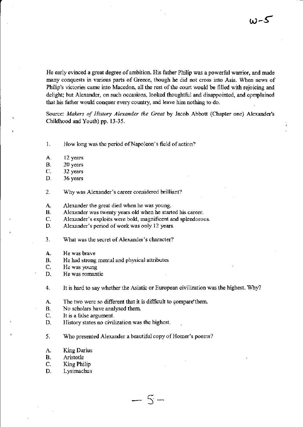He early evinced a great degree of ambition. His father Philip was a powerful warrior, and made many conquests in various parts of Greece, though he did not cross into Asia. When news of Philip's victories came into Macedon, all the rest of the court would be filled with rejoicing and delight; but Alexander, on such occasions, looked thoughtful and disappointed, and complained that his father would conquer every country, and leave him nothing to do.

Source: Makers of History Alexander the Great by Jacob Abbott (Chapter one) Alexander's Childhood and Youth) pp. 13-35-

1. How long was the period of Napoleon's field of action?

- A. 12 years
- B. 20 years<br>C. 32 years
- C. 32 years<br>D. 36 years
- 36 years
- 2. Why was Alexander's career considered brilliant?
- A. Alexander the great died when he was young.<br>B. Alexander was twenty years old when he start
- B. Alexander was twenty years old when he started his career.<br>C. Alexander's exploits were bold, magnificent and splendorous
- C. Alexander's exploits were bold, magnificent and splendorous.<br>D. Alexander's period of work was only 12 years.
- Alexander's period of work was only 12 years.
- 3. What was the secret of Alexander's character?
- A. He was brave<br>B. He had strong
- B. He had strong mental and physical attributes<br>C. He was voung
- C. He was young<br>D. He was romant
- He was romantic
- 4. It is hard to say whether the Asiatic or European civilization was the highest. Why?

 $\overline{\varsigma}$ -) -

- A. The two were so different that it is difficult to compare them.<br>B. No scholars have analysed them.
- 
- C. It is a false argument.<br>D. History states no civil
- History states no civilization was the highest.
- 5. Who presented Alexander a beautiful copy of Homer's poems?
- A. King Darius
- B. Aristotle
- C. King Philip
- D. Lysimachus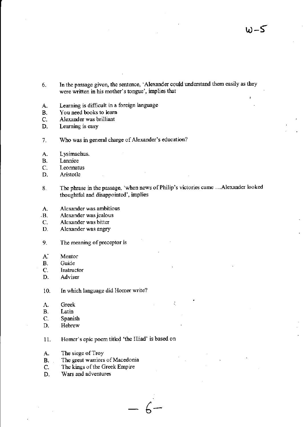- In the passage given, the sentence, 'Alexander could understand them easily as they 6. were written in his mother's tongue', implies that
- Learning is difficult in a foreign language A.
- You need books to learn **B.**
- $C_{\cdot}$ Alexander was brilliant
- Learning is easy D.
- Who was in general charge of Alexander's education?  $7.$
- Lysimachus. A.
- Lannice **B.**
- Leonnatus  $C_{\cdot}$
- Aristotle D.
- The phrase in the passage, 'when news of Philip's victories came ... Alexander looked 8. thoughtful and disappointed', implies
- Alexander was ambitious A.
- Alexander was jealous  $\cdot$ B.
- Alexander was bitter C.
- Alexander was angry D.
- The meaning of preceptor is 9.
- $A^*$ Mentor
- **B.** Guide
- C. Instructor
- Adviser D.

In which language did Homer write? 10.

- Greek A.
- Latin **B.**
- $C_{\cdot}$ Spanish
- Hebrew D.
- Homer's epic poem titled 'the Illiad' is based on 11.
- The siege of Troy A.
- The great warriors of Macedonia  $B_{\rm{max}}$
- The kings of the Greek Empire C.
- Wars and adventures D.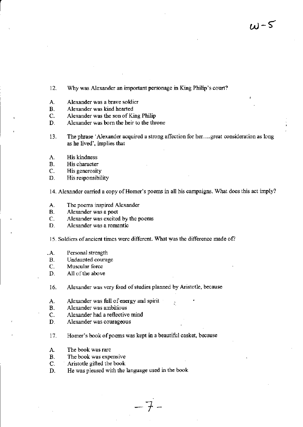- 12. Why was Alexander an important personage in King Philip's court?
- A. Alexander was a brave soldier<br>B. Alexander was kind hearted
- B. Alexander was kind hearted<br>C. Alexander was the son of Ki
- Alexander was the son of King Philip
- D. Alexander was born the heir to the throne
- 13. The phrase 'Alexander acquired a strong affection for her...great consideration as long as he lived', implies that
- A. His kindness<br>B. His character
- B. His character<br>C. His generosity
- C. His generosity<br>D. His responsibil
- His responsibility

14. Alexander carried a copy of Homer's poems in all his campaigns. What does this act imply?

- A. The poems inspired Alexander<br>B. Alexander was a poet
- B. Alexander was a poet<br>C. Alexander was excited
- C. Alexander was excited by the poems<br>D. Alexander was a romantic
- Alexander was a romantic
- 15. Soldiers of ancient times were different. What was the difference made of?
- .A. Personal strength
- B. Undaunted courage<br>C. Muscular force
- C. Muscular force<br>D. All of the above
- All of the above
- 16. Alexander was very fond of studies planned by Aristotle, because
- A. Alexander was full of energy and spirit **B.** Alexander was ambitious
- B. Alexander was ambitious<br>C. Alexander had a reflective
- C. Alexander had a reflective mind<br>D. Alexander was courageous
- Alexander was courageous
- 17. Homer's book of poems was kept in a beautiful casket, because

'1

- A. The book was rare
- B. The book was expensive<br>C. Aristotle gifted the book
- C. Aristotle gifted the book<br>D. He was pleased with the
- He was pleased with the language used in the book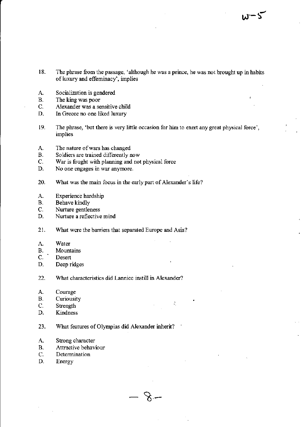- 18. The phrase from the passage, 'although he was a prince, he was not brought up in habits of luxury and effeminacy', implies
- Socialization is gendered A.
- **B.** The king was poor
- C. Alexander was a sensitive child
- D. In Greece no one liked luxury
- 19. The phrase, 'but there is very little occasion for him to exert any great physical force', implies

 $\bullet$ 

 $\sim 10^6$ 

 $\mathcal S$ 

- The nature of wars has changed А.
- **B.** Soldiers are trained differently now
- $C.$ War is fought with planning and not physical force
- D. No one engages in war anymore.
- 20. What was the main focus in the early part of Alexander's life?
- A. Experience hardship
- Behave kindly  $B<sub>1</sub>$
- Nurture gentleness  $C_{\cdot}$
- Nurture a reflective mind D.
- 21. What were the barriers that separated Europe and Asia?
- A. Water
- $\mathbf{B}$ . Mountains
- $C.$ Desert
- D. Deep ridges
- $22.$ What characteristics did Lannice instill in Alexander?
- A. Courage
- **B.** Curiousity
- C. Strength
- D. Kindness
- 23. What features of Olympias did Alexander inherit?
- Strong character А.
- Attractive behaviour В.
- Determination C.
- D. Energy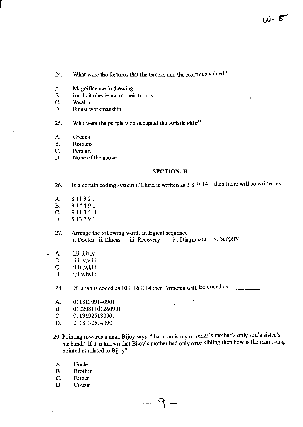What were the features that the Greeks and the Romans valued? 24.

- Magnificence in dressing А.
- Implicit obedience of their troops **B.**
- C. Wealth
- Finest workmanship D.

25. Who were the people who occupied the Asiatic side?

Greeks A.

Romans **B.** 

C. Persians

D. None of the above

#### **SECTION-B**

In a certain coding system if China is written as 3 8 9 14 1 then India will be written as 26.

- 811321 A. **B.** 914491 911351  $C_{\cdot}$
- 513791 D.
- 27. Arrange the following words in logical sequence
	- iv. Diagnosis v. Surgery i. Doctor ii. Illness iii. Recovery
- i, ii, ii, iv, v А.
- ii, i, iv, v, iii **B.**
- $C_{\cdot}$ ii, iv, v, i, iii
- i, ii, v, iv, iii D.

28.

- 01181309140901 A.
- **B.** 0102081101260901
- $C_{\cdot}$ 01191925180901
- D. 01181305140901
- 29. Pointing towards a man, Bijoy says, "that man is my mother's mother's only son's sister's husband." If it is known that Bijoy's mother had only one sibling then how is the man being pointed at related to Bijoy?

 $\mathcal{L}^{\mathcal{L}}_{\mathcal{L}^{\mathcal{L}}}$ 

- Uncle A.
- **Brother B.**
- C. Father
- D. Cousin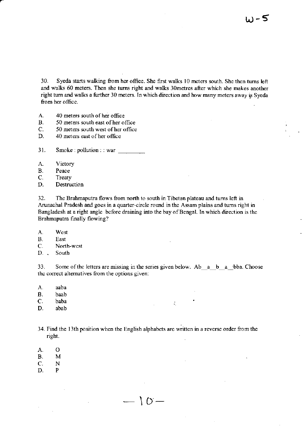30. Syeda starts walking from her office. She first walks l0 meters soulh. She then tums left and walks 60 meters. Then she turns right and walks 30metres after which she makes another right turn and walks a further 30 meters. In which direction and how many meters away is Syeda from her olfice.

- A. 40 meters south of her office<br>B. 50 meters south east of her of
- B. 50 meters south east of her office<br>C. 50 meters south west of her office
- C. 50 meters south west of her office<br>D. 40 meters east of her office
- 40 meters east of her office

 $31.$  Smoke: pollution: : war

- A. Victory
- 
- B. Peace<br>C. Treaty C. Treaty<br>D. Destrue
- Destruction

32. The Brahmaputa flows from nonh io south in Tibetao plateau and tums left in Arunachal Pradesh and goes in a quarter-circle round in the Assam plains and turns right in Bangladesh at a right angle beforc draining into the bayofBengal. In which direction is the Brahmaputra finally flowing?

- A. West
- 
- B. East<br>C. Nort C. North-west<br>D. South
- South

33. Some of the letters are missing in the series given below. Ab  $a$  b  $a$ -bba. Choose the correct alternatives from the options given:

- A. aaba
- B. baab<br>C. baba
- $C.$  baba  $\cdot$
- D. abab

34. Find the 13th position when the English alphabets are written in a reverse order from the rigbt.

 $\Gamma$  ()  $-$ 

-

- A.  $\overline{O}$
- M  $B.$
- $C$ . N
- $\mathbf{P}$ D.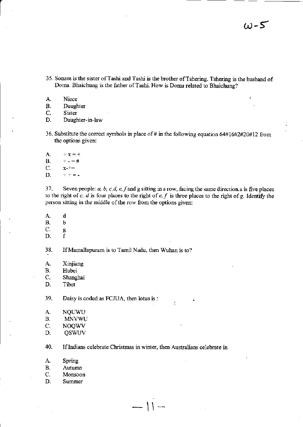- 35- Sonam is the sister ofTashi and Tashi is the brother ofTshering. Tshering is the husband of Doma. Bhaichung is the father of Tashi. How is Doma related to Bhaichung?
- A. Niece<br>B. Daugh

B. Daughter<br>C. Sister

C. Sister<br>D. Daugh

Daughter-in-law

- 36. Substitute the correct symbols in place of # in the following equation  $64#16#2#20#12$  from the options given:
- A.  $\div$  x =  $+$ **B.**  $\div$  -  $=$  # c.  $x-+1$ D.  $\div$  + = .

37. Seven people:  $a, b, c, d, e, f$  and g sitting in a row, facing the same direction. a is five places to the right of c.  $d$  is four places to the right of e.  $f$  is three places to the right of g. Identify the person sitting in the middle of the row from the options given:

Û,

- $A$ .  $\mathbf d$
- B.<br>C.  $\mathbf b$
- g
- D.  $\mathbf{f}$

38. If Mamallapuram is to Tamil Nadu, then Wuhan is to?

- A. Xinjiang
- B. Hubei
- c. Shanghai
- D. Tibet

39. Daisy is coded as FCJUA, then lotus is :

- A. **NOUWU**
- B. MNVWU
- C. NOQWV
- D. **QSWUV**

40. If Indians celebrate Christmas in winter, then Australians celebrate in

 $\sum_{i=1}^{n}$ 

- A. Spring
- B. Autumn
- C. Monsoon
- D. Summer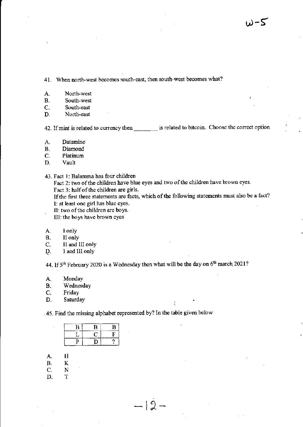41. When north-west becomes south-east, then south-west becomes what?

- A. North-west<br>B. South-west
- B. South-west<br>C. South-east
- C. South-east<br>D. North-east
- North-east

42. If mint is related to currency then set is related to bitcoin. Choose the correct option

- A. Datamine
- B. Diamond
- C. Platinum<br>D. Vault
- **Vault**
- 43. Fact 1: Balamma has four children

Fact 2: two of the children have blue eyes and two of the children have brown eyes. Fact 3: half of the children are girls.

If the first three statements are facts, which of the following statements must also be a fact? l: at least one girl has blue eyes.

II: two of the children are boys.

III: the boys have brown eyes

- A. I only<br>B. II only
- B. II only<br>C. II and l
- C. II and III only<br>D. I and III only
- I and III only

44. If  $5<sup>th</sup>$  February 2020 is a Wednesday then what will be the day on  $6<sup>th</sup>$  march 2021?

 $-|2-$ 

- A. Monday<br>B. Wednesd
- B. Wednesday<br>C. Friday
- C. Friday<br>D. Saturday
- D. Saturday and the same of the same of the same of the same of the same of the same of the same of the same of the same of the same of the same of the same of the same of the same of the same of the same of the same of th

45. Find the missing alphabet represented by? In the table given below

| п | В | в |
|---|---|---|
|   |   | э |
| ш |   |   |

- H A.
- B. K
- c. N
- D. T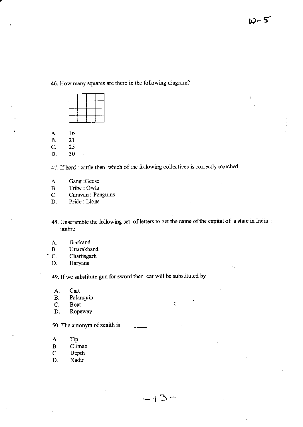46. How many squares arc there in the following diagram?



A. 16<br>B. 21

B. 21<br>C. 25

D. <sup>30</sup>

47. If herd : cattle then which of the following collectives is correctly matched

- Cang :Geese A.
- B. Tribe : Owls
- C.<br>D. Caravan : Penguins
- Pride: Lions
- 48. Unscramble the following set of letters to get the name of the capital of a state in India: ianhrc

÷,

- A. Jharkand<br>B. Uttarakha
- B. Uttarakhand<br>C. Chattisgarh
- C. Chattisgarh<br>D. Haryana

Haryana

49. Ifwe substitute gun for sword then car will be substituted by

- A. Cart<br>B. Palar
- B. Palanquin<br>C. Boat
- C. Boat<br>D. Rope
- Ropeway

50. The antonym of zenith is

- A. Tip<br>B. Clin
- B. Climax<br>C. Depth
- C. Depth<br>D. Nadir
- Nadir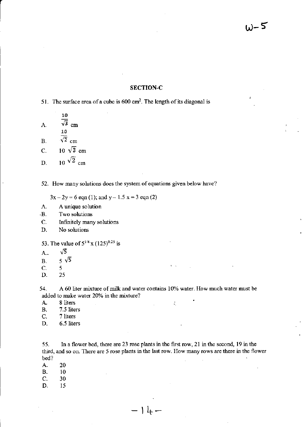### SECTION-C

51. The surface area of a cube is  $600 \text{ cm}^2$ . The length of its diagonal is

lo A.  $\overline{\sqrt{3}}$  cm 1a B.  $\sqrt{2}$  cm C.  $10 \sqrt{3}$  cm D. 10  $\sqrt{2}$  cm

52. How many solutions does the system of equations given below have?

 $3x - 2y = 6$  eqn (1); and  $y - 1.5 x = 3$  eqn (2)

- A. <sup>A</sup>unique solution
- .B. Two solutions
- C. Infinitely many solutions
- D. No solutions
- 53. The value of  $5^{1/4}$  x (125)<sup>0.25</sup> is
- $\sqrt{5}$  $A_{\cdot\cdot}$
- B.  $5\sqrt{5}$ <br>C.  $5$
- p.<br>C. 5<br>D. 25
- 

54. A 60 liter mixture of milk and water contains 10% water. How much water must be added to make water 20% in the mixture?

- A. 8 liters<br>B. 7.5 lite
- B. 7.5 liters<br>C. 7 liters
- C. 7 liters<br>D. 6.5 lites
- 6.5 liters

55. ln a flower bed, there are 23 mse plants in the fust row, 21 in the second, 19 in the third, and so on. There are 5 rose plants in the last row. How many rows are there in the flower bed?

 $- | l_{+}$ 

- 
- A. 20<br>B. 10
- B. 10<br>C. 30 C. 30<br>D. 15
- D. <sup>15</sup>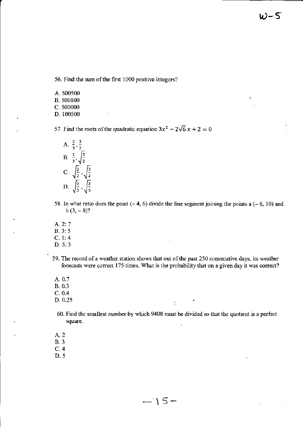56. Find the sum of the first 1000 positive integers?

A. 500500 B. 500100 C. 500000 D. 100500

57. Find the roots of the quadratic equation  $3x^2 - 2\sqrt{6}x + 2 = 0$ 



- 58. In what ratio does the point  $(-4, 6)$  divide the line segment joining the points a  $(-6, 10)$  and  $b(3, -8)$ ?
- A. 2:7  $B.3:5$  $C. 1: 4$

 $D. 5: 3$ 

- 59. The record of a weather station shows that out of the past 250 consecutive days, its weather forecasts were correct 175 times. What is the probability that on a given day it was correct?
- A. 0.7 B. 0.3  $C. 0.4$
- D. 0.25
- 60. Find the smallest number by which 9408 must be divided so that the quotient is a perfect square.

÷.

- A. 2
- **B.3**
- $C.4$
- $D.5$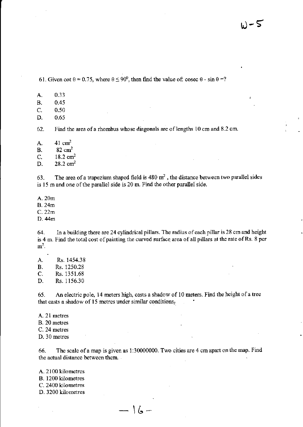61. Given cot  $\theta = 0.75$ , where  $\theta \le 90^0$ , then find the value of: cosec  $\theta$  - sin  $\theta = ?$ 

0.33 A.

**B.** 0.45

- 0.50  $C_{\cdot}$
- 0.65 D.

Find the area of a rhombus whose diagonals are of lengths 10 cm and 8.2 cm. 62.

 $41 \text{ cm}^2$ A.

 $82 \text{ cm}^2$ **B.** 

 $18.2 \text{ cm}^2$  $\mathsf{C}$ .

 $28.2 \text{ cm}^2$ D.

The area of a trapezium shaped field is  $480 \text{ m}^2$ , the distance between two parallel sides 63. is 15 m and one of the parallel side is 20 m. Find the other parallel side.

A. 20m

**B.** 24m

 $C.22m$ 

D. 44m

64. In a building there are 24 cylindrical pillars. The radius of each pillar is 28 cm and height is 4 m. Find the total cost of painting the curved surface area of all pillars at the rate of Rs. 8 per  $m<sup>2</sup>$ .

A. Rs. 1454.38 **B.** Rs. 1250.28 C. Rs. 1351.68 Rs. 1156.30 D.

An electric pole, 14 meters high, casts a shadow of 10 meters. Find the height of a tree 65. that casts a shadow of 15 metres under similar conditions.

A. 21 metres B. 20 metres

C. 24 metres

D. 30 metres

The scale of a map is given as 1:30000000. Two cities are 4 cm apart on the map. Find 66. the actual distance between them.

 $-16-$ 

A. 2100 kilometres

B. 1200 kilometres

C. 2400 kilometres

D. 3200 kilometres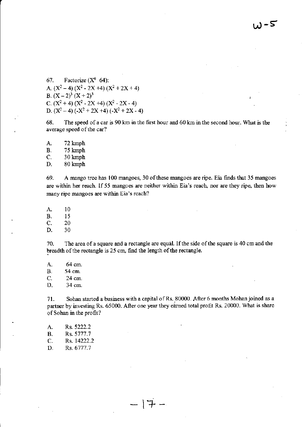l,-s

67. Factorize  $(X^6 \t 64)$ : A.  $(X^2-4) (X^2-2X+4) (X^2+2X+4)$ B.  $(X-2)^3 (X+2)^3$ C.  $(X^2 + 4) (X^2 - 2X + 4) (X^2 - 2X - 4)$ D.  $(X^2-4)$  (- $X^2+2X+4$ ) (- $X^2+2X-4$ )

68. The speed of a car is 90 km in the first hour and 60 km in the second hour. What is the average speed of the car?

A. 72 kmph<br>B. 75 kmph

B. 75 kmph<br>C. 30 kmph

C. 30 kmph<br>D. 80 kmph D. 80 kmph

69. A mango tree has 100 mangoes, 30 of these mangoes are ripe. Eia finds that 35 mangoes are within her reach. If 55 mangoes are neither within Eia's reach, nor are they ripe, then how many ripe mangoes are within Eia's reach?

A. <sup>10</sup>

B. 15<br>C. 20

C.  $20$ <br>D.  $30$ 

D. <sup>30</sup>

70. The area of a square and a rectangle are equal. If the side of the square is 40 cm and the breadth of the rectangle is  $25 \text{ cm}$ , find the length of the rectangle.

A. 64 cm. B. 54 cm.<br>C. 24 cm. 24 cm. D. 34 cm.

71. Sohan started a business with a capital of Rs. 80000. After 6 months Mohan joined as a partner by investing Rs. 65000. After one year they earned total profit Rs. 20000. What is share of Sohan in the profit?

 $-17 -$ 

| A. | Rs. 5222.2  |
|----|-------------|
| В. | Rs. 5777.7  |
| C. | Rs. 14222.2 |
| D. | Rs. 6777.7  |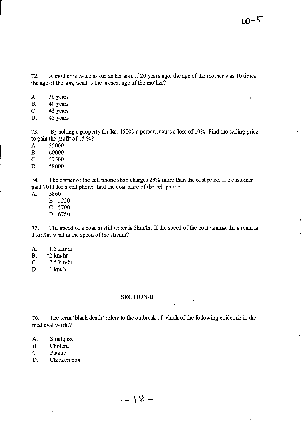12. A mothei is twice as old as her son. If20 years ago, the age ofthe mother was l0 times the age of the son, what is the present age of the mother?

- A. 38 years<br>B. 40 years
- B. 40 years<br>C. 43 years
- C. 43 years<br>D. 45 years
- 45 years

13. By selling a property for Rs. 45000 a percon incurs a loss of 1070. Find the selling price to gain the profit of 15 %?

- A. 55000<br>B. 60000
- B. 60000<br>C. 57500
- C. 57500<br>D. 58000
- 58000

74. The owner of the cell phone shop charges 23% more than the cost price. If a customer paid 7011 for a cell phone, find the cost price of the cell phone.

- A. <sup>5860</sup>
	- 8.5220
	- C. 5700
	- D.6750

15. The speed of a boat in still water is 5km/hr. If the speed of the boat against the stream is 3 km/hr, what is the speed of the stream?

- A. 1.5 km/hr<br>B. 2 km/hr
- B. <sup>2</sup> km/hr<br>C. 2.5 km/h
- $2.5$  km/hr
- D. I kn/h

# SECTION-D

 $-18-$ 

16. The term 'black death' refers to the outbreak ofwhich ofthe following epidemio in the medieval world?

- A. Smallpox<br>B. Cholera
- B. Cholera<br>C. Plague
- C. Plague<br>D. Chicker
- Chicken pox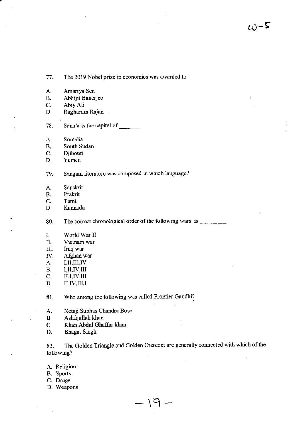$\omega$ -5

Amartya Sen Abhijit Banerjee Raghuram Rajan Sana'a is the capital of South Sudan Sangam literature was composed in which language? The correct chronological order of the following wars is \_\_\_\_\_\_\_\_\_\_ World War II Vietnam war

The 2019 Nobel prize in economics was awarded to

Iraq war III.

77.

A.

**B.** C.

D.

78.

А.

**B.**  $C.$ 

D.

79.

A. **B.** 

 $C_{\bullet}$ 

D.

80.

 $I<sub>r</sub>$ II. Abiy Ali

Somalia

Djibouti

Yemen

Sanskrit

Kannada

Prakrit Tamil

- IV. Afghan war
- $I, II, III, IV$ A.
- $I, II, IV, III$ **B.**
- C. II,I,IV,III
- $II, IV, III, I$ D.

Who among the following was called Frontier Gandhi? 81.

- A. Netaji Subhas Chandra Bose
- Ashfqullah khan **B.**
- Khan Abdul Ghaffar khan C.
- D. **Bhagat Singh**

The Golden Triangle and Golden Crescent are generally connected with which of the 82. following?

 $\beta$ 

 $\mathcal{A}_1$ 

- A. Religion
- B. Sports
- C. Drugs
- D. Weapons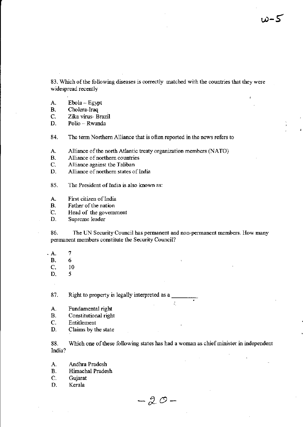83. Which of the following diseases is correctly matched with the countries that they were widespread recently

- $Ebola-Egypt$ A.
- **B.** Cholera-Iraq
- C. Zika virus- Brazil
- D. Polio - Rwanda

The term Northern Alliance that is often reported in the news refers to 84.

Alliance of the north Atlantic treaty organization members (NATO) А.

- Alliance of northern countries **B.**
- Alliance against the Taliban C.
- Alliance of northern states of India D.

85. The President of India is also known as:

- First citizen of India A.
- **B.** Father of the nation

 $\mathbf C$ . Head of the government

D. Supreme leader

86. The UN Security Council has permanent and non-permanent members. How many permanent members constitute the Security Council?

- $\overline{7}$  $\Delta$ .
	- **B.** 6
	- $\overline{C}$ . 10
	- D. 5

87. Right to property is legally interpreted as a

- A. Fundamental right
- Constitutional right **B.**
- C. Entitlement
- D. Claims by the state

88. Which one of these following states has had a woman as chief minister in independent India?

 $\tilde{V}_\mathrm{L}$ 

- A. Andhra Pradesh
- Himachal Pradesh **B.**
- $C_{\cdot}$ Gujarat
- D. Kerala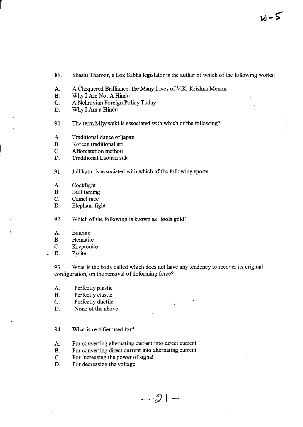89. Shashi Tharoor, a Lok Sabha legislator is the author of which of the following works:

A. A Chequered Brilliance: the Many Lives of V.K. Krishna Menon<br>B. Why I Am Not A Hindu

- B. Why I Am Not A Hindu<br>C. A Nehruvian Foreign Po
- C. A Nehruvian Foreign Policy Today<br>D. Why I Am a Hindu
- Why I Am a Hindu

90. The term Miyawaki is associated with which of the following?

- A. Traditional dance of japan<br>B. Korean traditional art
- B. Korean traditional art<br>C. Afforestation method
- C. Afforestation method<br>D. Traditional Laotian sil
- Traditional Laotian silk

91. Jallikattu is associated with which of the following sports

- A. Cockfight<br>B. Bull tamin
- B. Bull taming<br>C. Camel race
- C. Camel race<br>D. Elephant fig.
- Elephant fight

92. Which of the following is known as 'fools gold'

- A. Bauxite<br>B. Hematit
- B. Hematite<br>C. Kryptonit
- C. Kryptonite<br>D. Pyrite
- Pyrite

93. What is the body called which does not have any tendency to recover its original configuration, on the removal of deforming force?

- A. Perfectly plastic<br>B. Perfectly elastic
- B. Perfectly elastic<br>C. Perfectly ductile
- C. Perfectly ductile  $D$ . None of the above
- None of the above
- 94. What is rectifier used for?
- A. For converting alternating current into direct current
- B. For converting direct current into alternating current
- C. For increasing the power of signal<br>D. For decreasing the voltage
- For decreasing the voltage